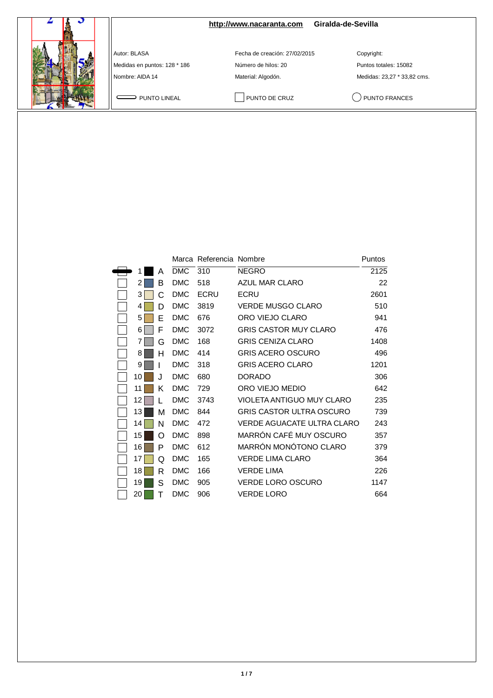|                                              | http://www.nacaranta.com                             | Giralda-de-Sevilla                  |
|----------------------------------------------|------------------------------------------------------|-------------------------------------|
| Autor: BLASA<br>Medidas en puntos: 128 * 186 | Fecha de creación: 27/02/2015<br>Número de hilos: 20 | Copyright:<br>Puntos totales: 15082 |
| Nombre: AIDA 14                              | Material: Algodón.                                   | Medidas: 23,27 * 33,82 cms.         |
| PUNTO LINEAL                                 | PUNTO DE CRUZ                                        | PUNTO FRANCES                       |

|    |    |            | Marca Referencia Nombre |                                   | Puntos |
|----|----|------------|-------------------------|-----------------------------------|--------|
|    | Α  | <b>DMC</b> | 310                     | <b>NEGRO</b>                      | 2125   |
| 2  | B  | <b>DMC</b> | 518                     | <b>AZUL MAR CLARO</b>             | 22     |
| 3  | C  | <b>DMC</b> | <b>ECRU</b>             | ECRU                              | 2601   |
| 4  | D  | <b>DMC</b> | 3819                    | <b>VERDE MUSGO CLARO</b>          | 510    |
| 5  | E  | <b>DMC</b> | 676                     | ORO VIEJO CLARO                   | 941    |
| 6  | F  | <b>DMC</b> | 3072                    | <b>GRIS CASTOR MUY CLARO</b>      | 476    |
| 7  | G  | <b>DMC</b> | 168                     | <b>GRIS CENIZA CLARO</b>          | 1408   |
| 8  | н  | <b>DMC</b> | 414                     | <b>GRIS ACERO OSCURO</b>          | 496    |
| 9  |    | <b>DMC</b> | 318                     | <b>GRIS ACERO CLARO</b>           | 1201   |
| 10 | J. | <b>DMC</b> | 680                     | <b>DORADO</b>                     | 306    |
| 11 | Κ  | <b>DMC</b> | 729                     | ORO VIEJO MEDIO                   | 642    |
| 12 |    | <b>DMC</b> | 3743                    | VIOLETA ANTIGUO MUY CLARO         | 235    |
| 13 | М  | <b>DMC</b> | 844                     | <b>GRIS CASTOR ULTRA OSCURO</b>   | 739    |
| 14 | N  | <b>DMC</b> | 472                     | <b>VERDE AGUACATE ULTRA CLARO</b> | 243    |
| 15 | Ω  | <b>DMC</b> | 898                     | MARRÓN CAFÉ MUY OSCURO            | 357    |
| 16 | P  | <b>DMC</b> | 612                     | MARRÓN MONÓTONO CLARO             | 379    |
| 17 | Q  | <b>DMC</b> | 165                     | <b>VERDE LIMA CLARO</b>           | 364    |
| 18 | R  | <b>DMC</b> | 166                     | <b>VERDE LIMA</b>                 | 226    |
| 19 | S  | <b>DMC</b> | 905                     | <b>VERDE LORO OSCURO</b>          | 1147   |
| 20 | т  | <b>DMC</b> | 906                     | VERDE LORO                        | 664    |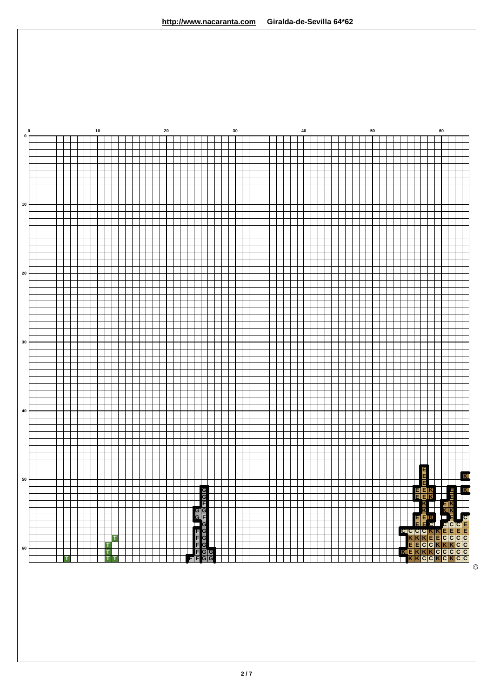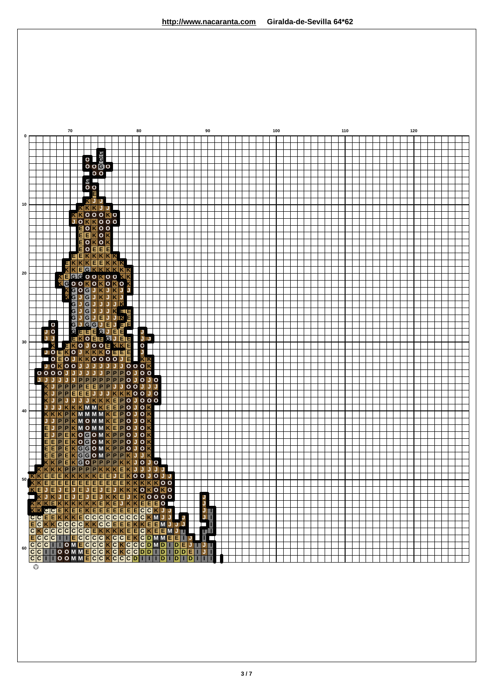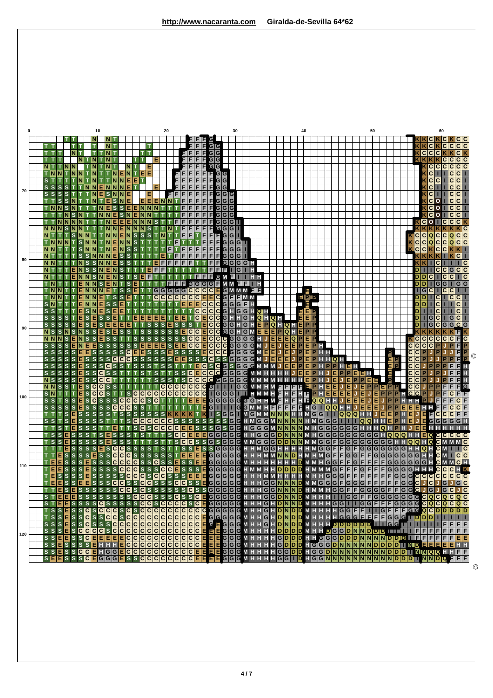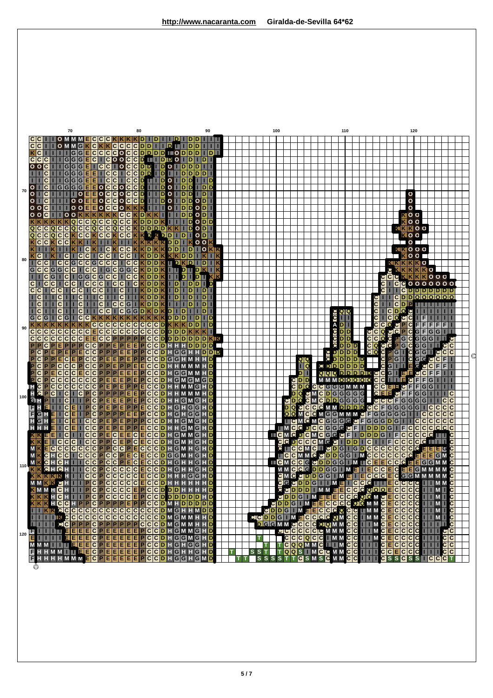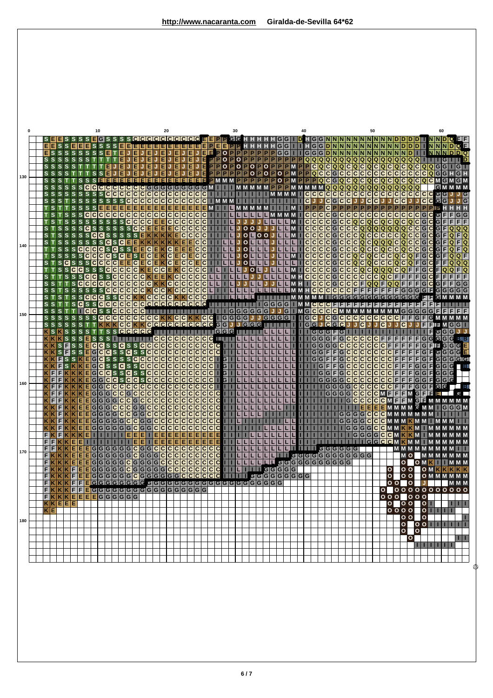